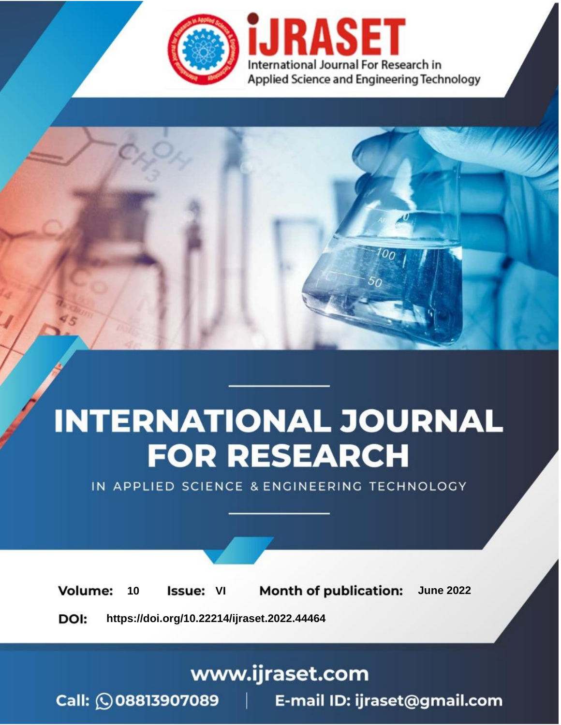

# **INTERNATIONAL JOURNAL FOR RESEARCH**

IN APPLIED SCIENCE & ENGINEERING TECHNOLOGY

**Month of publication: Volume:** 10 **Issue: VI June 2022** 

DOI: https://doi.org/10.22214/ijraset.2022.44464

### www.ijraset.com

Call: 008813907089 | E-mail ID: ijraset@gmail.com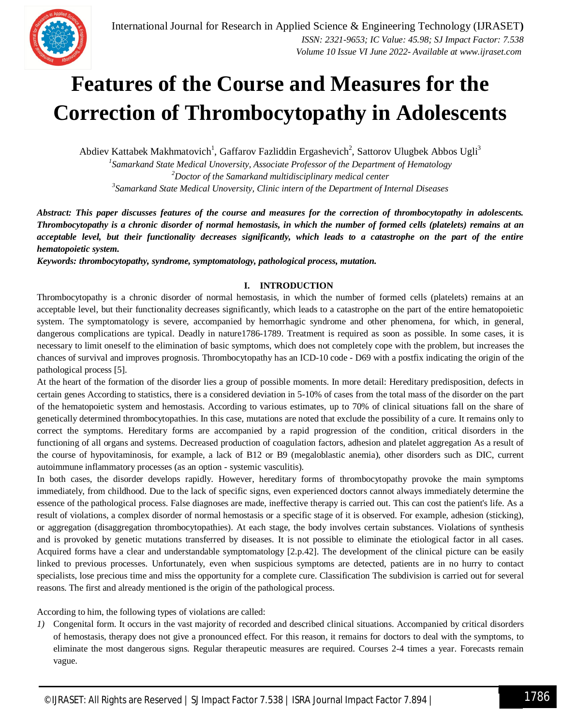

### **Features of the Course and Measures for the Correction of Thrombocytopathy in Adolescents**

Abdiev Kattabek Makhmatovich<sup>1</sup>, Gaffarov Fazliddin Ergashevich<sup>2</sup>, Sattorov Ulugbek Abbos Ugli<sup>3</sup> *1 Samarkand State Medical Unoversity, Associate Professor of the Department of Hematology*

*<sup>2</sup>Doctor of the Samarkand multidisciplinary medical center 3 Samarkand State Medical Unoversity, Clinic intern of the Department of Internal Diseases*

*Abstract: This paper discusses features of the course and measures for the correction of thrombocytopathy in adolescents. Thrombocytopathy is a chronic disorder of normal hemostasis, in which the number of formed cells (platelets) remains at an acceptable level, but their functionality decreases significantly, which leads to a catastrophe on the part of the entire hematopoietic system.*

*Keywords: thrombocytopathy, syndrome, symptomatology, pathological process, mutation.*

#### **I. INTRODUCTION**

Thrombocytopathy is a chronic disorder of normal hemostasis, in which the number of formed cells (platelets) remains at an acceptable level, but their functionality decreases significantly, which leads to a catastrophe on the part of the entire hematopoietic system. The symptomatology is severe, accompanied by hemorrhagic syndrome and other phenomena, for which, in general, dangerous complications are typical. Deadly in nature1786-1789. Treatment is required as soon as possible. In some cases, it is necessary to limit oneself to the elimination of basic symptoms, which does not completely cope with the problem, but increases the chances of survival and improves prognosis. Thrombocytopathy has an ICD-10 code - D69 with a postfix indicating the origin of the pathological process [5].

At the heart of the formation of the disorder lies a group of possible moments. In more detail: Hereditary predisposition, defects in certain genes According to statistics, there is a considered deviation in 5-10% of cases from the total mass of the disorder on the part of the hematopoietic system and hemostasis. According to various estimates, up to 70% of clinical situations fall on the share of genetically determined thrombocytopathies. In this case, mutations are noted that exclude the possibility of a cure. It remains only to correct the symptoms. Hereditary forms are accompanied by a rapid progression of the condition, critical disorders in the functioning of all organs and systems. Decreased production of coagulation factors, adhesion and platelet aggregation As a result of the course of hypovitaminosis, for example, a lack of B12 or B9 (megaloblastic anemia), other disorders such as DIC, current autoimmune inflammatory processes (as an option - systemic vasculitis).

In both cases, the disorder develops rapidly. However, hereditary forms of thrombocytopathy provoke the main symptoms immediately, from childhood. Due to the lack of specific signs, even experienced doctors cannot always immediately determine the essence of the pathological process. False diagnoses are made, ineffective therapy is carried out. This can cost the patient's life. As a result of violations, a complex disorder of normal hemostasis or a specific stage of it is observed. For example, adhesion (sticking), or aggregation (disaggregation thrombocytopathies). At each stage, the body involves certain substances. Violations of synthesis and is provoked by genetic mutations transferred by diseases. It is not possible to eliminate the etiological factor in all cases. Acquired forms have a clear and understandable symptomatology [2.p.42]. The development of the clinical picture can be easily linked to previous processes. Unfortunately, even when suspicious symptoms are detected, patients are in no hurry to contact specialists, lose precious time and miss the opportunity for a complete cure. Classification The subdivision is carried out for several reasons. The first and already mentioned is the origin of the pathological process.

According to him, the following types of violations are called:

*1)* Congenital form. It occurs in the vast majority of recorded and described clinical situations. Accompanied by critical disorders of hemostasis, therapy does not give a pronounced effect. For this reason, it remains for doctors to deal with the symptoms, to eliminate the most dangerous signs. Regular therapeutic measures are required. Courses 2-4 times a year. Forecasts remain vague.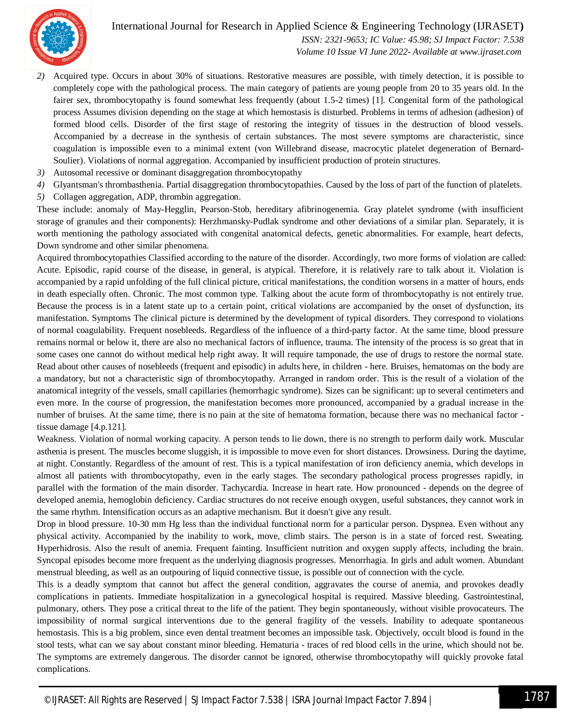International Journal for Research in Applied Science & Engineering Technology (IJRASET**)**



 *ISSN: 2321-9653; IC Value: 45.98; SJ Impact Factor: 7.538 Volume 10 Issue VI June 2022- Available at www.ijraset.com*

- *2)* Acquired type. Occurs in about 30% of situations. Restorative measures are possible, with timely detection, it is possible to completely cope with the pathological process. The main category of patients are young people from 20 to 35 years old. In the fairer sex, thrombocytopathy is found somewhat less frequently (about 1.5-2 times) [1]. Congenital form of the pathological process Assumes division depending on the stage at which hemostasis is disturbed. Problems in terms of adhesion (adhesion) of formed blood cells. Disorder of the first stage of restoring the integrity of tissues in the destruction of blood vessels. Accompanied by a decrease in the synthesis of certain substances. The most severe symptoms are characteristic, since coagulation is impossible even to a minimal extent (von Willebrand disease, macrocytic platelet degeneration of Bernard-Soulier). Violations of normal aggregation. Accompanied by insufficient production of protein structures.
- *3)* Autosomal recessive or dominant disaggregation thrombocytopathy
- *4)* Glyantsman's thrombasthenia. Partial disaggregation thrombocytopathies. Caused by the loss of part of the function of platelets.
- *5)* Collagen aggregation, ADP, thrombin aggregation.

These include: anomaly of May-Hegglin, Pearson-Stob, hereditary afibrinogenemia. Gray platelet syndrome (with insufficient storage of granules and their components): Herzhmansky-Pudlak syndrome and other deviations of a similar plan. Separately, it is worth mentioning the pathology associated with congenital anatomical defects, genetic abnormalities. For example, heart defects, Down syndrome and other similar phenomena.

Acquired thrombocytopathies Classified according to the nature of the disorder. Accordingly, two more forms of violation are called: Acute. Episodic, rapid course of the disease, in general, is atypical. Therefore, it is relatively rare to talk about it. Violation is accompanied by a rapid unfolding of the full clinical picture, critical manifestations, the condition worsens in a matter of hours, ends in death especially often. Chronic. The most common type. Talking about the acute form of thrombocytopathy is not entirely true. Because the process is in a latent state up to a certain point, critical violations are accompanied by the onset of dysfunction, its manifestation. Symptoms The clinical picture is determined by the development of typical disorders. They correspond to violations of normal coagulability. Frequent nosebleeds. Regardless of the influence of a third-party factor. At the same time, blood pressure remains normal or below it, there are also no mechanical factors of influence, trauma. The intensity of the process is so great that in some cases one cannot do without medical help right away. It will require tamponade, the use of drugs to restore the normal state. Read about other causes of nosebleeds (frequent and episodic) in adults here, in children - here. Bruises, hematomas on the body are a mandatory, but not a characteristic sign of thrombocytopathy. Arranged in random order. This is the result of a violation of the anatomical integrity of the vessels, small capillaries (hemorrhagic syndrome). Sizes can be significant: up to several centimeters and even more. In the course of progression, the manifestation becomes more pronounced, accompanied by a gradual increase in the number of bruises. At the same time, there is no pain at the site of hematoma formation, because there was no mechanical factor tissue damage [4.p.121].

Weakness. Violation of normal working capacity. A person tends to lie down, there is no strength to perform daily work. Muscular asthenia is present. The muscles become sluggish, it is impossible to move even for short distances. Drowsiness. During the daytime, at night. Constantly. Regardless of the amount of rest. This is a typical manifestation of iron deficiency anemia, which develops in almost all patients with thrombocytopathy, even in the early stages. The secondary pathological process progresses rapidly, in parallel with the formation of the main disorder. Tachycardia. Increase in heart rate. How pronounced - depends on the degree of developed anemia, hemoglobin deficiency. Cardiac structures do not receive enough oxygen, useful substances, they cannot work in the same rhythm. Intensification occurs as an adaptive mechanism. But it doesn't give any result.

Drop in blood pressure. 10-30 mm Hg less than the individual functional norm for a particular person. Dyspnea. Even without any physical activity. Accompanied by the inability to work, move, climb stairs. The person is in a state of forced rest. Sweating. Hyperhidrosis. Also the result of anemia. Frequent fainting. Insufficient nutrition and oxygen supply affects, including the brain. Syncopal episodes become more frequent as the underlying diagnosis progresses. Menorrhagia. In girls and adult women. Abundant menstrual bleeding, as well as an outpouring of liquid connective tissue, is possible out of connection with the cycle.

This is a deadly symptom that cannot but affect the general condition, aggravates the course of anemia, and provokes deadly complications in patients. Immediate hospitalization in a gynecological hospital is required. Massive bleeding. Gastrointestinal, pulmonary, others. They pose a critical threat to the life of the patient. They begin spontaneously, without visible provocateurs. The impossibility of normal surgical interventions due to the general fragility of the vessels. Inability to adequate spontaneous hemostasis. This is a big problem, since even dental treatment becomes an impossible task. Objectively, occult blood is found in the stool tests, what can we say about constant minor bleeding. Hematuria - traces of red blood cells in the urine, which should not be. The symptoms are extremely dangerous. The disorder cannot be ignored, otherwise thrombocytopathy will quickly provoke fatal complications.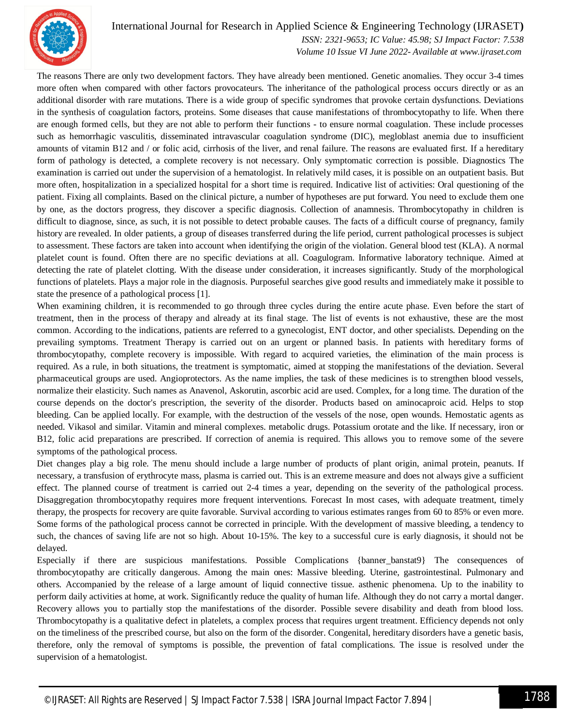

#### International Journal for Research in Applied Science & Engineering Technology (IJRASET**)**

 *ISSN: 2321-9653; IC Value: 45.98; SJ Impact Factor: 7.538 Volume 10 Issue VI June 2022- Available at www.ijraset.com*

The reasons There are only two development factors. They have already been mentioned. Genetic anomalies. They occur 3-4 times more often when compared with other factors provocateurs. The inheritance of the pathological process occurs directly or as an additional disorder with rare mutations. There is a wide group of specific syndromes that provoke certain dysfunctions. Deviations in the synthesis of coagulation factors, proteins. Some diseases that cause manifestations of thrombocytopathy to life. When there are enough formed cells, but they are not able to perform their functions - to ensure normal coagulation. These include processes such as hemorrhagic vasculitis, disseminated intravascular coagulation syndrome (DIC), megloblast anemia due to insufficient amounts of vitamin B12 and / or folic acid, cirrhosis of the liver, and renal failure. The reasons are evaluated first. If a hereditary form of pathology is detected, a complete recovery is not necessary. Only symptomatic correction is possible. Diagnostics The examination is carried out under the supervision of a hematologist. In relatively mild cases, it is possible on an outpatient basis. But more often, hospitalization in a specialized hospital for a short time is required. Indicative list of activities: Oral questioning of the patient. Fixing all complaints. Based on the clinical picture, a number of hypotheses are put forward. You need to exclude them one by one, as the doctors progress, they discover a specific diagnosis. Collection of anamnesis. Thrombocytopathy in children is difficult to diagnose, since, as such, it is not possible to detect probable causes. The facts of a difficult course of pregnancy, family history are revealed. In older patients, a group of diseases transferred during the life period, current pathological processes is subject to assessment. These factors are taken into account when identifying the origin of the violation. General blood test (KLA). A normal platelet count is found. Often there are no specific deviations at all. Coagulogram. Informative laboratory technique. Aimed at detecting the rate of platelet clotting. With the disease under consideration, it increases significantly. Study of the morphological functions of platelets. Plays a major role in the diagnosis. Purposeful searches give good results and immediately make it possible to state the presence of a pathological process [1].

When examining children, it is recommended to go through three cycles during the entire acute phase. Even before the start of treatment, then in the process of therapy and already at its final stage. The list of events is not exhaustive, these are the most common. According to the indications, patients are referred to a gynecologist, ENT doctor, and other specialists. Depending on the prevailing symptoms. Treatment Therapy is carried out on an urgent or planned basis. In patients with hereditary forms of thrombocytopathy, complete recovery is impossible. With regard to acquired varieties, the elimination of the main process is required. As a rule, in both situations, the treatment is symptomatic, aimed at stopping the manifestations of the deviation. Several pharmaceutical groups are used. Angioprotectors. As the name implies, the task of these medicines is to strengthen blood vessels, normalize their elasticity. Such names as Anavenol, Askorutin, ascorbic acid are used. Complex, for a long time. The duration of the course depends on the doctor's prescription, the severity of the disorder. Products based on aminocaproic acid. Helps to stop bleeding. Can be applied locally. For example, with the destruction of the vessels of the nose, open wounds. Hemostatic agents as needed. Vikasol and similar. Vitamin and mineral complexes. metabolic drugs. Potassium orotate and the like. If necessary, iron or B12, folic acid preparations are prescribed. If correction of anemia is required. This allows you to remove some of the severe symptoms of the pathological process.

Diet changes play a big role. The menu should include a large number of products of plant origin, animal protein, peanuts. If necessary, a transfusion of erythrocyte mass, plasma is carried out. This is an extreme measure and does not always give a sufficient effect. The planned course of treatment is carried out 2-4 times a year, depending on the severity of the pathological process. Disaggregation thrombocytopathy requires more frequent interventions. Forecast In most cases, with adequate treatment, timely therapy, the prospects for recovery are quite favorable. Survival according to various estimates ranges from 60 to 85% or even more. Some forms of the pathological process cannot be corrected in principle. With the development of massive bleeding, a tendency to such, the chances of saving life are not so high. About 10-15%. The key to a successful cure is early diagnosis, it should not be delayed.

Especially if there are suspicious manifestations. Possible Complications {banner\_banstat9} The consequences of thrombocytopathy are critically dangerous. Among the main ones: Massive bleeding. Uterine, gastrointestinal. Pulmonary and others. Accompanied by the release of a large amount of liquid connective tissue. asthenic phenomena. Up to the inability to perform daily activities at home, at work. Significantly reduce the quality of human life. Although they do not carry a mortal danger. Recovery allows you to partially stop the manifestations of the disorder. Possible severe disability and death from blood loss. Thrombocytopathy is a qualitative defect in platelets, a complex process that requires urgent treatment. Efficiency depends not only on the timeliness of the prescribed course, but also on the form of the disorder. Congenital, hereditary disorders have a genetic basis, therefore, only the removal of symptoms is possible, the prevention of fatal complications. The issue is resolved under the supervision of a hematologist.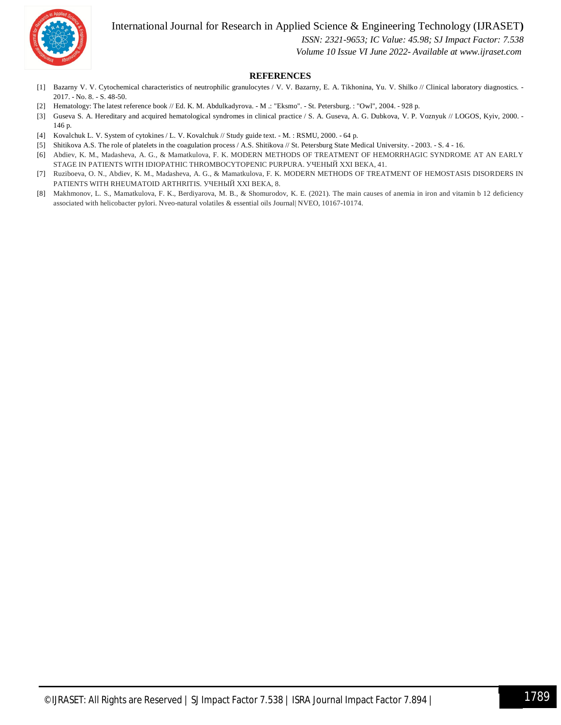

International Journal for Research in Applied Science & Engineering Technology (IJRASET**)**

 *ISSN: 2321-9653; IC Value: 45.98; SJ Impact Factor: 7.538*

 *Volume 10 Issue VI June 2022- Available at www.ijraset.com*

#### **REFERENCES**

- [1] Bazarny V. V. Cytochemical characteristics of neutrophilic granulocytes / V. V. Bazarny, E. A. Tikhonina, Yu. V. Shilko // Clinical laboratory diagnostics. 2017. - No. 8. - S. 48-50.
- [2] Hematology: The latest reference book // Ed. K. M. Abdulkadyrova. M .: "Eksmo". St. Petersburg. : "Owl", 2004. 928 p.
- [3] Guseva S. A. Hereditary and acquired hematological syndromes in clinical practice / S. A. Guseva, A. G. Dubkova, V. P. Voznyuk // LOGOS, Kyiv, 2000. -146 p.
- [4] Kovalchuk L. V. System of cytokines / L. V. Kovalchuk // Study guide text. M. : RSMU, 2000. 64 p.
- [5] Shitikova A.S. The role of platelets in the coagulation process / A.S. Shitikova // St. Petersburg State Medical University. 2003. S. 4 16.
- [6] Abdiev, K. M., Madasheva, A. G., & Mamatkulova, F. K. MODERN METHODS OF TREATMENT OF HEMORRHAGIC SYNDROME AT AN EARLY STAGE IN PATIENTS WITH IDIOPATHIC THROMBOCYTOPENIC PURPURA. УЧЕНЫЙ XXI ВЕКА, 41.
- [7] Ruziboeva, O. N., Abdiev, K. M., Madasheva, A. G., & Mamatkulova, F. K. MODERN METHODS OF TREATMENT OF HEMOSTASIS DISORDERS IN PATIENTS WITH RHEUMATOID ARTHRITIS. УЧЕНЫЙ XXI ВЕКА, 8.
- [8] Makhmonov, L. S., Mamatkulova, F. K., Berdiyarova, M. B., & Shomurodov, K. E. (2021). The main causes of anemia in iron and vitamin b 12 deficiency associated with helicobacter pylori. Nveo-natural volatiles & essential oils Journal| NVEO, 10167-10174.